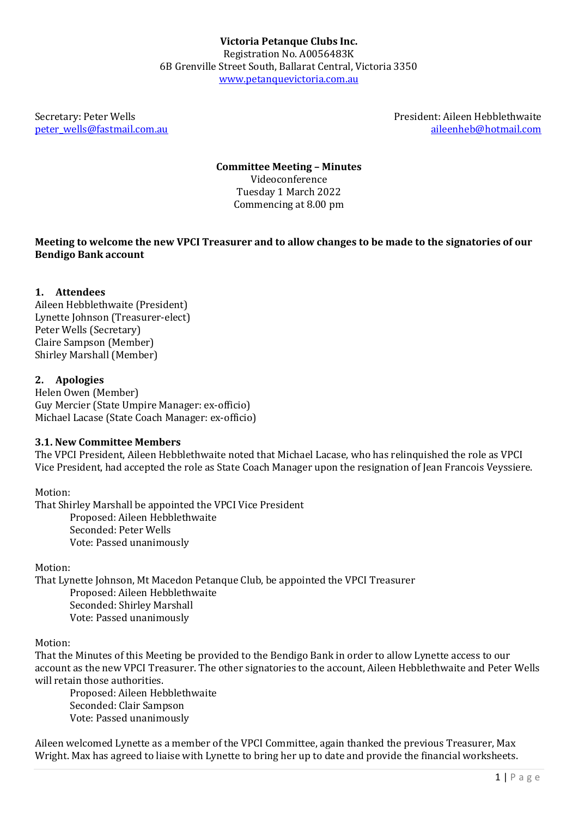[peter\\_wells@fastmail.com.au](mailto:peter_wells@fastmail.com.au)

Secretary: Peter Wells President: Aileen Hebblethwaite<br>
Deter wells @fastmail.com.au aileenheb@hotmail.com

**Committee Meeting – Minutes**

Videoconference Tuesday 1 March 2022 Commencing at 8.00 pm

### **Meeting to welcome the new VPCI Treasurer and to allow changes to be made to the signatories of our Bendigo Bank account**

# **1. Attendees**

Aileen Hebblethwaite (President) Lynette Johnson (Treasurer-elect) Peter Wells (Secretary) Claire Sampson (Member) Shirley Marshall (Member)

# **2. Apologies**

Helen Owen (Member) Guy Mercier (State Umpire Manager: ex-officio) Michael Lacase (State Coach Manager: ex-officio)

### **3.1. New Committee Members**

The VPCI President, Aileen Hebblethwaite noted that Michael Lacase, who has relinquished the role as VPCI Vice President, had accepted the role as State Coach Manager upon the resignation of Jean Francois Veyssiere.

### Motion:

That Shirley Marshall be appointed the VPCI Vice President Proposed: Aileen Hebblethwaite Seconded: Peter Wells Vote: Passed unanimously

Motion:

That Lynette Johnson, Mt Macedon Petanque Club, be appointed the VPCI Treasurer Proposed: Aileen Hebblethwaite Seconded: Shirley Marshall Vote: Passed unanimously

Motion:

That the Minutes of this Meeting be provided to the Bendigo Bank in order to allow Lynette access to our account as the new VPCI Treasurer. The other signatories to the account, Aileen Hebblethwaite and Peter Wells will retain those authorities.

Proposed: Aileen Hebblethwaite Seconded: Clair Sampson Vote: Passed unanimously

Aileen welcomed Lynette as a member of the VPCI Committee, again thanked the previous Treasurer, Max Wright. Max has agreed to liaise with Lynette to bring her up to date and provide the financial worksheets.